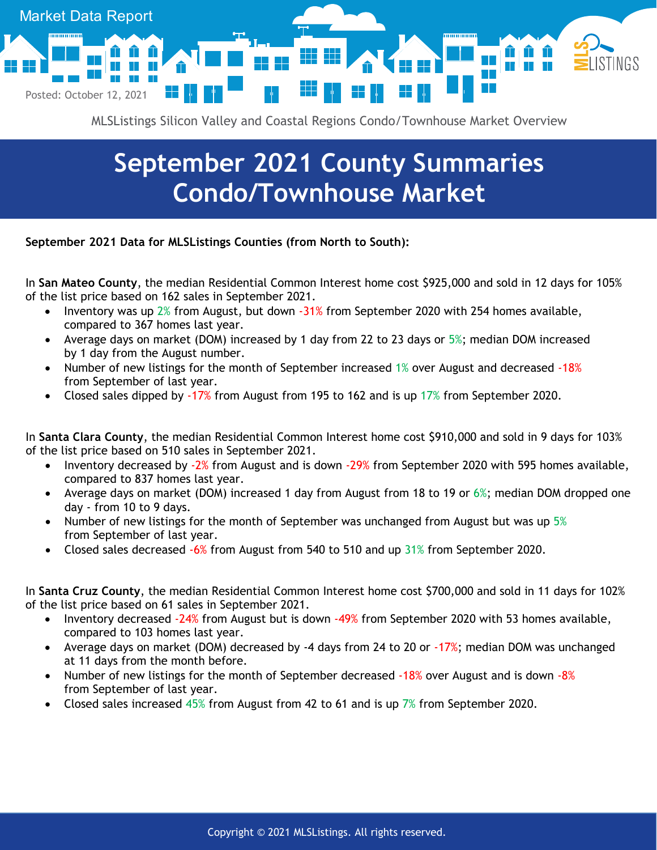

MLSListings Silicon Valley and Coastal Regions Condo/Townhouse Market Overview

## **September 2021 County Summaries Condo/Townhouse Market**

**September 2021 Data for MLSListings Counties (from North to South):**

In **San Mateo County**, the median Residential Common Interest home cost \$925,000 and sold in 12 days for 105% of the list price based on 162 sales in September 2021.

- Inventory was up  $2\%$  from August, but down  $-31\%$  from September 2020 with 254 homes available, compared to 367 homes last year.
- Average days on market (DOM) increased by 1 day from 22 to 23 days or 5%; median DOM increased by 1 day from the August number.
- Number of new listings for the month of September increased 1% over August and decreased -18% from September of last year.
- Closed sales dipped by -17% from August from 195 to 162 and is up 17% from September 2020.

In **Santa Clara County**, the median Residential Common Interest home cost \$910,000 and sold in 9 days for 103% of the list price based on 510 sales in September 2021.

- Inventory decreased by -2% from August and is down -29% from September 2020 with 595 homes available, compared to 837 homes last year.
- Average days on market (DOM) increased 1 day from August from 18 to 19 or 6%; median DOM dropped one day - from 10 to 9 days.
- Number of new listings for the month of September was unchanged from August but was up  $5\%$ from September of last year.
- Closed sales decreased -6% from August from 540 to 510 and up 31% from September 2020.

In **Santa Cruz County**, the median Residential Common Interest home cost \$700,000 and sold in 11 days for 102% of the list price based on 61 sales in September 2021.

- Inventory decreased -24% from August but is down -49% from September 2020 with 53 homes available, compared to 103 homes last year.
- Average days on market (DOM) decreased by -4 days from 24 to 20 or -17%; median DOM was unchanged at 11 days from the month before.
- Number of new listings for the month of September decreased -18% over August and is down -8% from September of last year.
- Closed sales increased 45% from August from 42 to 61 and is up 7% from September 2020.